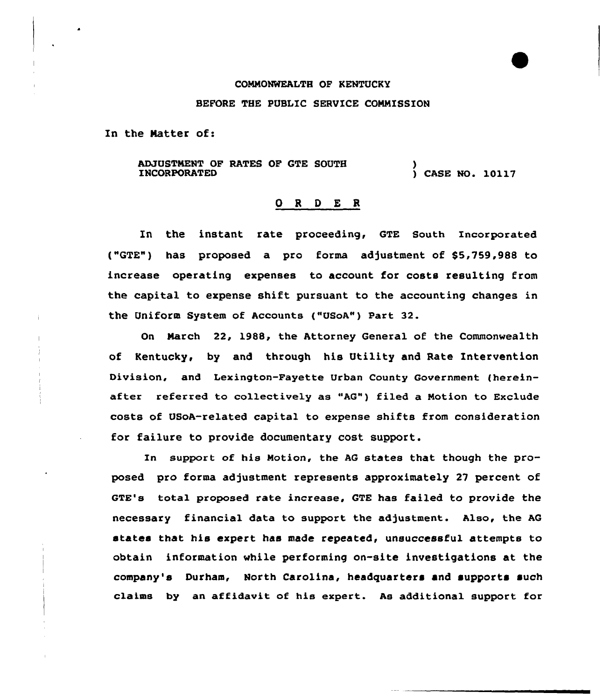## COMMONWEALTH OF KENTUCKY

## BEFORE THE PUBLIC SERVICE COMMISSION

In the Natter of:

ADJUSTMENT OF RATES OF GTE SOUTH INCORPORATED ) ) CASE MO. 10117

## O R D E R

In the instant rate proceeding, GTE South Incorporated ("GTE") has propased a pro forma adjustment of \$5,759,988 to increase operating expenses to account for costs resulting from the capital to expense shift pursuant to the accounting changes in the Uniform System of Accaunts ("USoA") Part 32.

On Narch 22, l988, the Attorney General of the Commonwealth of Kentucky, by and through his Utility and Rate Intervention Division, and Lexington-Fayette Urban County Government (hereinafter referred to collectively as "AG") filed a Motion to Exclude costs of USoA-related capital to expense shifts from consideration for failure to provide documentary cost support.

In support of his Motion, the AG states that though the proposed pro forma adjustment represents approximately 27 percent of GTE's total proposed rate increase, GTE has failed to provide the necessary financial data to support the adjustment. Also, the AG states that his expert has made repeated, unsuccessful attempts to obtain information vhile performing on-site investigations at the company's Durham, North Carolina, headquarters and supports such claims by an affidavit of his expert. As additional support for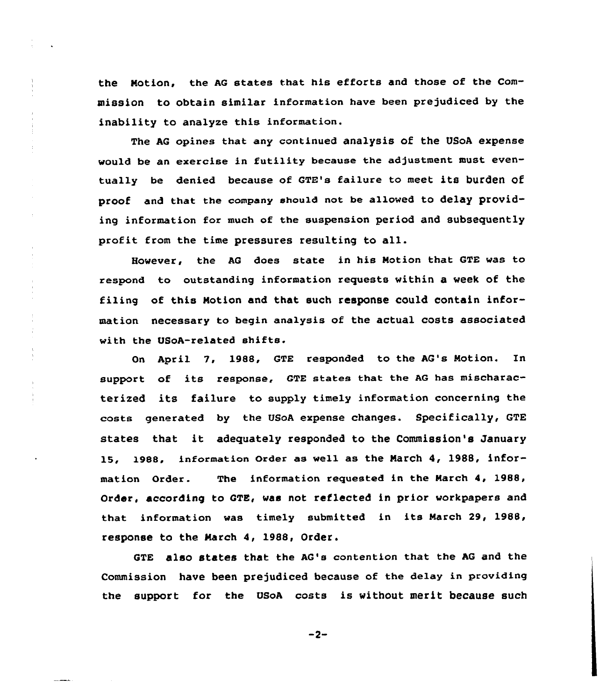the Notion, the AG states that his efforts and those of the Commission to obtain similar information have been prejudiced by the inability to analyze this information.

The AG opines that any continued analysis of the USoA expense would be an exercise in futility because the adjustment must eventually be denied because of GTE's failure to meet its burden of proof and that the company should not be allowed to delay providing information for much of the suspension period and subsequently profit from the time pressures resulting to all.

However, the AG does state in his Notion that GTE was to respond to outstanding information requests within a week of the filing of this Notion and that such response could contain information necessary to begin analysis of the actual costs associated with the USoA-related shifts.

On April 2, 1988, GTE responded to the AG's Notion. In support of its response, GTE states that the AG has mischaracterized its failure to supply timely information concerning the costs generated by the USoA expense changes. Specifically, GTE states that it adequately responded to the Commission's January 15, 1988, information order as well as the Narch 4, 1988, information Order. The information requested in the March 4, 1988, Order, according to GTE, was not reflected in prior workpapers and that information was timely submitted in its March 29, 1988, response to the Narch 4, 198&, Order.

GTE also states that the AG's contention that the AG and the commission have been prejudiced because of the delay in providing the support for the UsoA costs is without merit because such

 $-2-$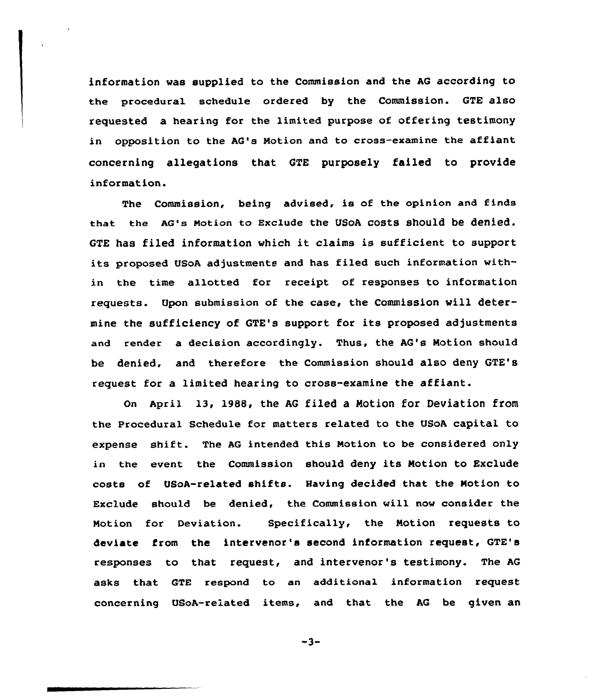information vas supplied to the Commission and the AG according to the procedural schedule ordered by the Commission. GTE also requested a hearing for the limited purpose of offering testimony in opposition to the AG's Motion and to cross-examine the affiant concerning allegations that GTE purposely failed to provide information.

The Commission, being advised, is of the opinion and finds that the AG'a Motion to Exclude the USoA costs should be denied. GTE has filed information which it claims is sufficient to support its proposed USoA adjustmente and has filed such information within the time allotted for receipt of responses to information requests. Upon submission of the case, the Commission vill determine the sufficiency of GTE's support for its proposed adjustments and render a decision accordingly. Thus, the AG's Notion should be denied, and therefore the Commission should also deny GTE's request for a limited hearing to cross-examine the affiant.

On April 13, 1988, the AG filed a Motion for Deviation from the Procedural Schedule for matters related to the USoA capital to expense shift. The AG intended this Motion ta be considered only in the event the Commission should deny its Notion to Exclude casts of USoA-related shifts. Having decided that the Notion to Exclude should be denied, the Commission will now consider the Motion for Deviation. Specifically, the Motion requests to deviate from the intervenor's second information request, GTE's responses to that request, and intervenor's testimony. The AG asks that GTE respond to an additional information request concerning USaA-related items, and that the AG be given an

 $-3-$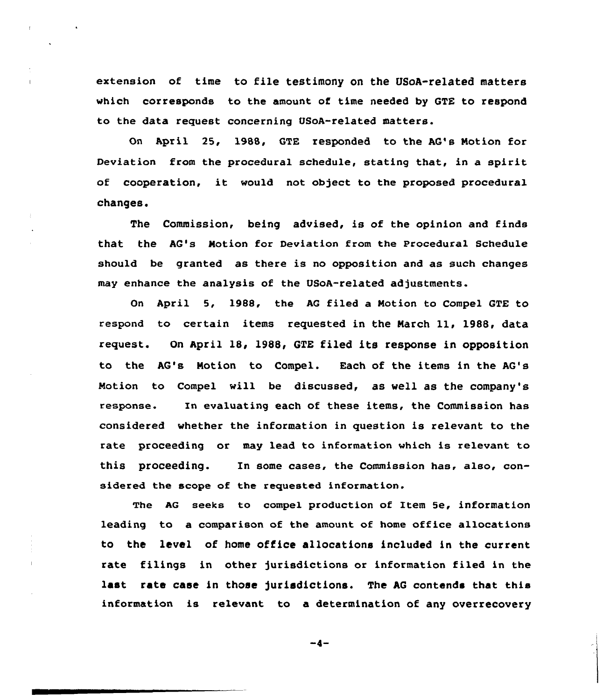extension of time to file testimony on the USoA-related matters which corresponds to the amount of time needed by GTE to respond to the data request concerning USoA-related matters.

On April 25, 1988, GTR responded to the AG's Notion for Deviation from the procedural schedule, stating that, in a spirit of cooperation, it would not object to the proposed procedural changes.

The Commission, being advised, is of the opinion and finds that the AG's Notion for Deviation from the Procedural Schedule should be granted as there is no opposition and as such changes may enhance the analysis of the USoA-related adjustments.

On April 5, 1988, the AG filed a Notion to Compel GTE to respond to certain items requested in the Narch ll, 1988, data request. On April 18< 1988, GTE filed its response in opposition to the AG's Notion to Compel. Each of the items in the AG's Notion to Compel will be discussed, as well as the company's response. In evaluating each of these items, the Commission has considered whether the information in question is relevant to the rate proceeding or may lead to information which is relevant to this proceeding. In some cases, the Commission has, also, considered the scope of the requested information.

The AG seeks to compel production of Item 5e, information leading to a comparison of the amount of home office allocations to the level of home office allocations included in the current rate filings in other jurisdictions or information filed in the last rate case in those jurisdictions. The AG contends that this information is relevant to a determination of any overrecovery

 $-4-$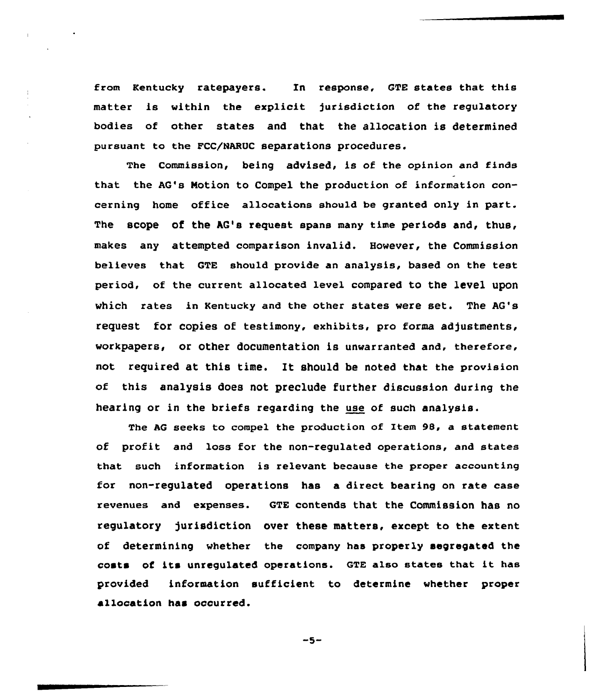from Kentucky ratepayers. In response, GTE states that this matter is within the explicit jurisdiction of the regulatory bodies of other states and that the allocation is determined pursuant to the FCC/NARUC separations procedures.

The Commission, being advised, is of the opinion and finds that the AG's Notion to Compel the production of information concerning home office allocations should be granted only in part. The scope of the  $AG's$  request spans many time periods and, thus, makes any attempted comparison invalid. However, the Commission believes that GTE should provide an analysis, based on the test period, of the current allocated level compared to the level upon which rates in Kentucky and the other states vere set. The AG's request for copies of testimony, exhibits, pro forma adjustments, workpapers, or other documentation is unwarranted and, therefore, not required at this time. It should be noted that the provision of this analysis does not preclude further discussion during the hearing or in the briefs regarding the use of such analysis.

The AG seeks to compel the production of Item 98, a statement of profit and loss for the non-regulated operations, and states that such information is relevant because the proper accounting for non-regulated operations has a direct bearing on rate case revenues and expenses. GTE contends that the Commission has no regulatory jurisdiction over these matters, except to the extent of determining vhether the company has properly segregated the costs of its unregulated operations. GTE also states that it has provided information sufficient to determine vhether proper allocation has occurred.

 $-5-$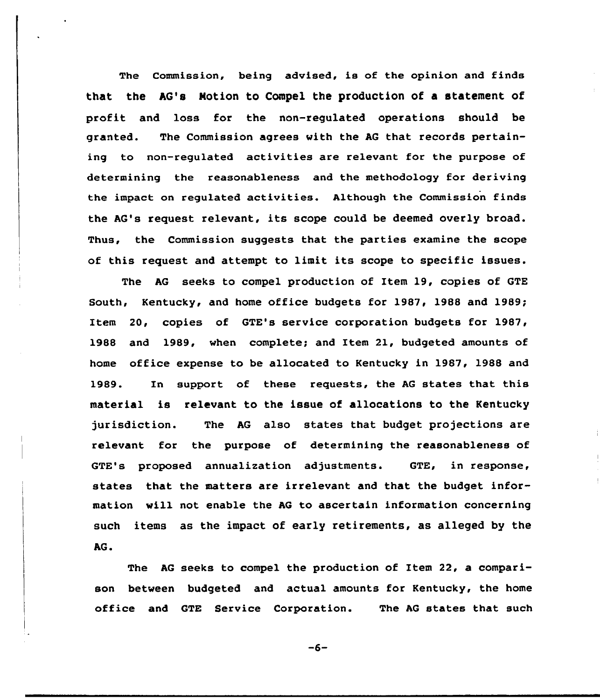The Commission, being advised, is of the opinion and finds that the AG's Notion to Compel the production of a statement of profit and loss for the non-regulated operations should be granted. The Commission agrees with the AG that records pertaining to non-regulated activities are relevant for the purpose of determining the reasonableness and the methodology for deriving the impact on regulated activities. Although the Commission finds the AG's request relevant, its scope could be deemed overly broad. Thus, the Commission suggests that the parties examine the scope of this request and attempt to limit its scope to specific issues.

The AG seeks to compel production of Item 19, copies of GTE South, Kentucky, and home office budgets for 1987, 1988 and 1989; Item 20, copies of GTE's service corporation budgets for 1987, 1988 and 1989, when complete; and Item 21, budgeted amounts of home office expense to be allocated to Kentucky in 1987, 1988 and 1989. In support of these requests, the AG states that this material is relevant to the issue of allocations to the Kentucky jurisdiction. The AG also states that budget projections are relevant for the purpose of determining the reasonableness of GTE's proposed annualization adjustments. GTE, in response, states that the matters are irrelevant and that the budget information will not enable the AG to ascertain information concerning such items as the impact of early retirements, as alleged by the AG.

The AG seeks to compel the production of Item 22, a comparison between budgeted and actual amounts for Kentucky, the home office and GTE Service Corporation. The AG states that such

 $-6-$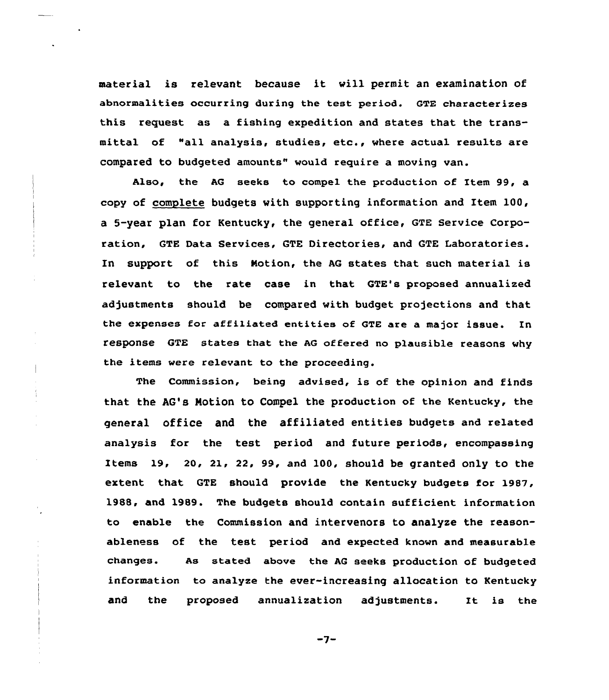material is relevant because it will permit an examination of abnormalities occurring during the test period. GTE characterizes this request as a fishing expedition and states that the transmittal of "all analysis, studies, etc., where actual results are compared to budgeted amounts" would require a moving van.

Also, the AG seeks to compel the production of Item 99, a copy of complete budgets with supporting information and Item 100, a 5-year plan for Kentucky, the general office, GTE Service Corporation, GTE Data Services, GTE Directories, and GTE Laboratories. In support of this Notion, the AG states that such material is relevant to the rate case in that GTE's proposed annualized adjustments should be compared with budget projections and that the expenses for affiliated entities of GTE are a major issue. In response GTE states that the AG offered no p1ausible reasons why the items were relevant to the proceeding.

The Commission, being advised, is of the opinion and finds that the AG'8 Notion to Compel the production of the Kentucky, the general office and the affiliated entities budgets and related analysis for the test period and future periods, encompassing Items 19, 20, 21, 22, 99, and 100, should be granted only to the extent that GTE should provide the Kentucky budgets for 1987, 1988, and 1989. The budgets should contain sufficient information to enable the Commission and intervenors to analyze the reasonableness of the test period and expected known and measurable changes. As stated above the AG seeks production of budgeted information to analyze the ever-increasing allocation to Kentucky and the proposed annualization adjustments. It is the

 $\frac{\ell}{4}$ 

 $-7-$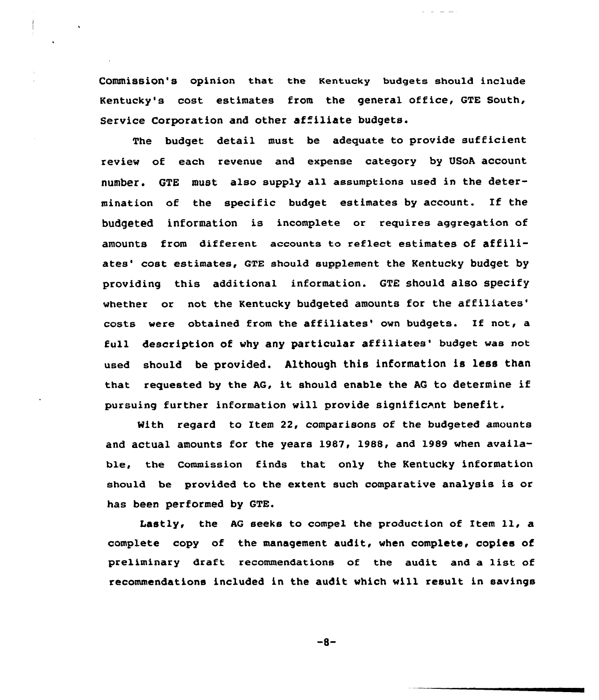Commission's opinion that the Kentucky budgets should include Kentucky's cost estimates from the general office, GTE South, Service Corporation and other affiliate budgets.

The budget detail must be adequate to provide sufficient review of each revenue and expense category by USoA account number. GTE must also supply a11 assumptions used in the determination of the specific budget estimates by account. If the budgeted information is incomplete or requires aggregation of amounts from different accounts to reflect estimates of affiliates' cost estimates, GTE should supplement the Kentucky budget by providing this additional information. GTE should also specify whether or not the Kentucky budgeted amounts for the affiliates' costs were obtained from the affiliates' own budgets. If not, a full description of why any particular affiliates' budget was not used should be provided. Although this information is less than that requested by the AG, it should enable the AG to determine if pursuing further information will provide significant benefit.

With regard to Item 22, comparisons of the budgeted amounts and actual amounts for the years 1987, 1988, and 1989 when available, the commission finds that only the Kentucky information should be provided to the extent such comparative analysis is or has been performed by GTE.

Lastly, the AQ seeks to compel the production of Item ll, <sup>a</sup> complete copy of the management audit, when complete, copies of preliminary draft recommendations of the audit and a list of recommendations included in the audit which will result in savings

 $-8-$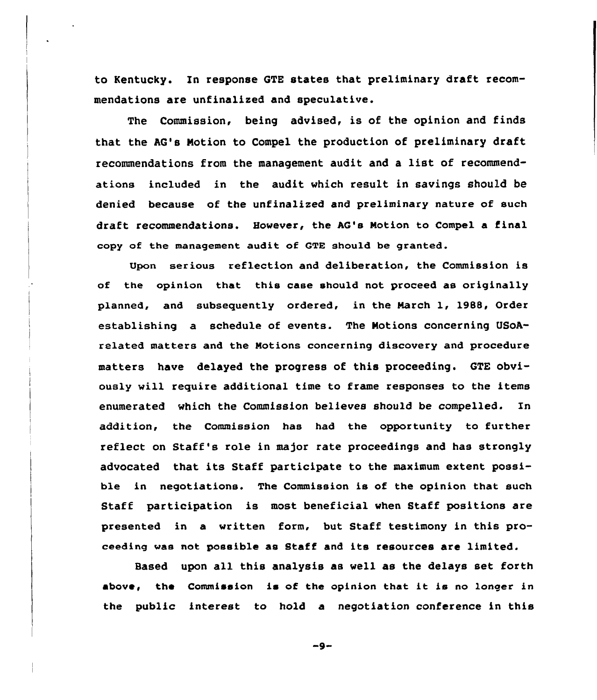to Kentucky. In response QTE states that preliminary draft recommendations are unfinalized and speculative.

The Commission, being advised, is of the opinion and finds that the AG's Notion to Compel the production of preliminary draft recommendations from the management audit and a list of recommendations included in the audit which result in savings should be denied because of the unfinalized and preliminary nature of such draft recommendations. However, the AG's Notion to Compel a final copy of the management audit of GTR should be granted.

Upon serious reflection and deliberation, the Commission is of the opinion that this case should not proceed as originally planned, and subsequently ordered, in the March 1, 1988, Order establishing a schedule of events. The Notions concerning USoArelated matters and the Motions concerning discovery and procedure matters have delayed the progress of this proceeding. GTE obviously will require additional time to frame responses to the items enumerated which the Commission believes should be compelled. In addition, the Commission has had the opportunity to further reflect on Staff's role in major rate proceedings and has strongly advocated that its Staff participate to the maximum extent possible in negotiations. The Commission is of the opinion that such Staff participation is most beneficial when Staff positions are presented in a written form, but Staff testimony in this proceeding was not possible as Staff and its resources are limited.

Based upon all this analysis as well as the delays set forth above, the Commission ia of the opinion that it is no longer in the public interest to hold a negotiation conference in this

 $-9-$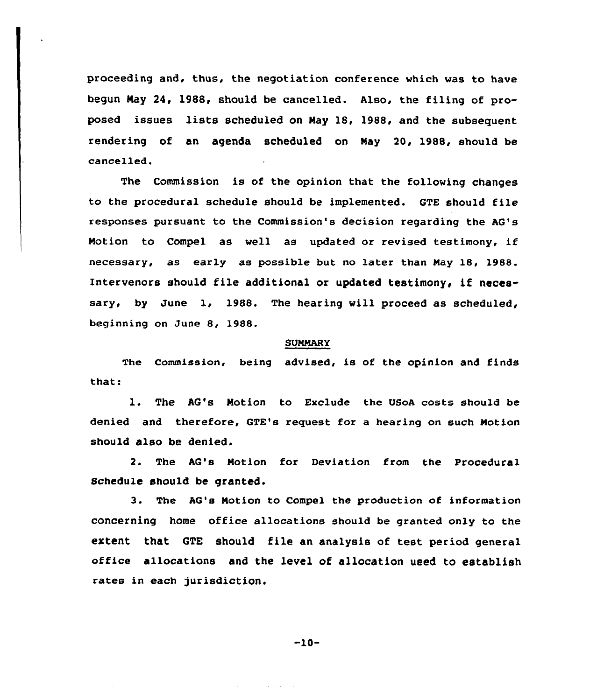proceeding and, thus, the negotiation conference which was to have begun Nay 24, 1988, should be cancelled. Also, the filing of proposed issues lists scheduled on Nay 18, 1988, and the subsequent rendering of an agenda scheduled on May 20, 1988, should be cancelled.

The Commission is of the opinion that the following changes to the procedural schedule should be implemented. GTE should file responses pursuant to the Commission's decision regarding the AG's Notion to Compel as well as updated or revised testimony, if necessary, as early as possible but no later than Nay 18, 1988. Intervenors should file additional or updated testimony, if necessary, by June 1, 1988. The hearing will proceed as scheduled, beginning on June 8, 1988.

## SUMMARY

The Commission, being advised, is of the opinion and finds that:

1. The AQ's Motion to Exclude the USoA costs should be denied and therefore, GTE's request for a hearing on such Notion should also be denied.

2. The AG's Motion for Deviation from the Procedural Schedule should be granted.

3. The AG's Motion to Compel the production of information concerning home office allocations should be granted only to the extent that QTE should file an analysis of test period general office allocations and the level of allocation used to establish rates in each jurisdiction,

 $-10-$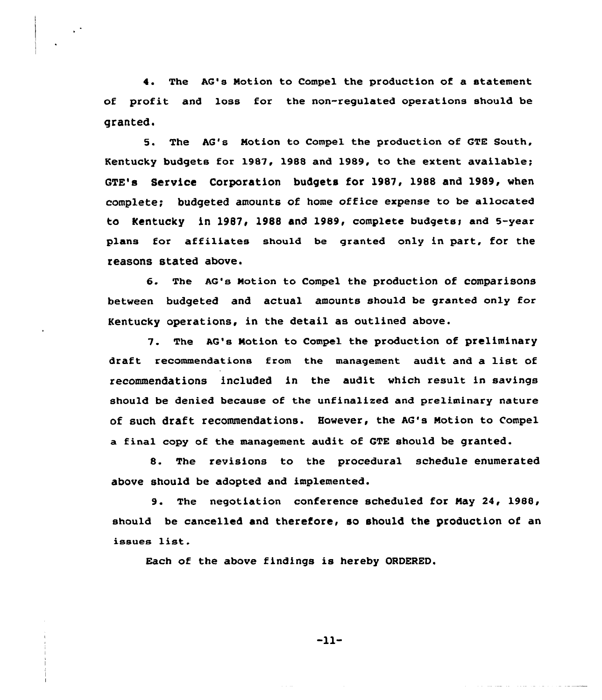4. The AG's Motion to Compel the production of a statement of profit and loss for the non-regulated operations should be granted.

5. The AG's Notion to Compel the production of GTE South, Kentucky budgets for 1987, 1988 and 1989, to the extent available; GTE's Service Corporation budgets for 1987, 1988 and 1989, when complete; budgeted amounts of home office expense to be allocated to Kentucky in 1987, 1988 and 1989, complete budgets; and 5-year plans for affiliates should be granted only in part, for the reasons stated above.

6. The AQ's Notion to Compel the production of comparisons between budgeted and actual amounts should be granted only for Kentucky operations, in the detail as outlined above.

7. The AG's Notion to Compel the production of preliminary draft recommendations from the management audit and a list of recommendations included in the audit which result in savings should be denied because of the unfinalized and preliminary nature of such draft recommendations. However, the AG's Motion to Compel a final copy of the management audit of GTE should be granted.

8. The revisions to the procedural schedule enumerated above should be adopted and implemented.

9. The negotiation conference scheduled for May 24, 1988, should be cancelled and therefore, so should the production of an issues list.

Each of the above findings is hereby ORDERED.